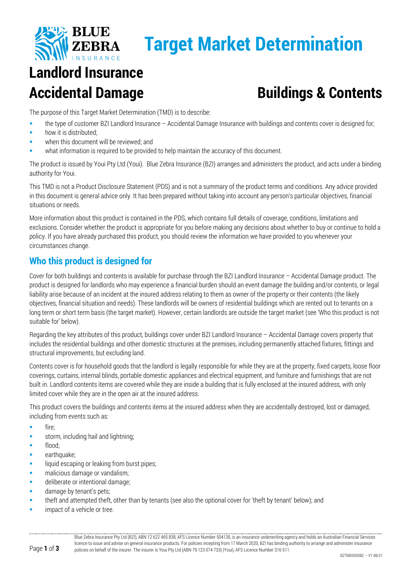

# **Target Market Determination**

# **Landlord Insurance**

## Accidental Damage **Buildings & Contents**

The purpose of this Target Market Determination (TMD) is to describe:

- the type of customer BZI Landlord Insurance Accidental Damage Insurance with buildings and contents cover is designed for;
- how it is distributed;
- when this document will be reviewed; and
- what information is required to be provided to help maintain the accuracy of this document.

The product is issued by Youi Pty Ltd (Youi). Blue Zebra Insurance (BZI) arranges and administers the product, and acts under a binding authority for Youi.

This TMD is not a Product Disclosure Statement (PDS) and is not a summary of the product terms and conditions. Any advice provided in this document is general advice only. It has been prepared without taking into account any person's particular objectives, financial situations or needs.

More information about this product is contained in the PDS, which contains full details of coverage, conditions, limitations and exclusions. Consider whether the product is appropriate for you before making any decisions about whether to buy or continue to hold a policy. If you have already purchased this product, you should review the information we have provided to you whenever your circumstances change.

### **Who this product is designed for**

Cover for both buildings and contents is available for purchase through the BZI Landlord Insurance – Accidental Damage product. The product is designed for landlords who may experience a financial burden should an event damage the building and/or contents, or legal liability arise because of an incident at the insured address relating to them as owner of the property or their contents (the likely objectives, financial situation and needs). These landlords will be owners of residential buildings which are rented out to tenants on a long term or short term basis (the target market). However, certain landlords are outside the target market (see 'Who this product is not suitable for' below).

Regarding the key attributes of this product, buildings cover under BZI Landlord Insurance – Accidental Damage covers property that includes the residential buildings and other domestic structures at the premises, including permanently attached fixtures, fittings and structural improvements, but excluding land.

Contents cover is for household goods that the landlord is legally responsible for while they are at the property, fixed carpets, loose floor coverings, curtains, internal blinds, portable domestic appliances and electrical equipment, and furniture and furnishings that are not built in. Landlord contents items are covered while they are inside a building that is fully enclosed at the insured address, with only limited cover while they are in the open air at the insured address.

This product covers the buildings and contents items at the insured address when they are accidentally destroyed, lost or damaged, including from events such as:

- **fire**;
- storm, including hail and lightning;
- flood;
- earthquake;
- **Iliquid escaping or leaking from burst pipes;**
- **n** malicious damage or vandalism;
- deliberate or intentional damage;
- **damage by tenant's pets;**
- theft and attempted theft, other than by tenants (see also the optional cover for 'theft by tenant' below); and
- impact of a vehicle or tree.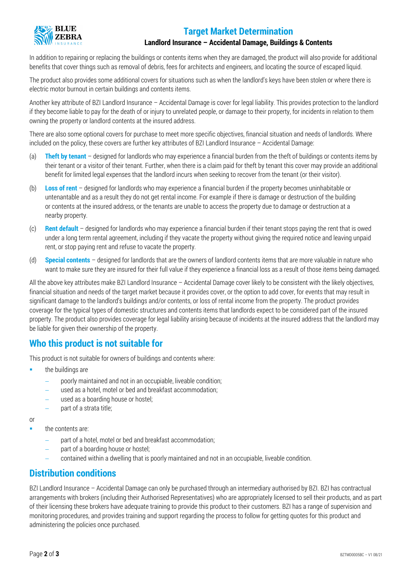## **BLUE**

### **Target Market Determination**

#### **Landlord Insurance – Accidental Damage, Buildings & Contents**

In addition to repairing or replacing the buildings or contents items when they are damaged, the product will also provide for additional benefits that cover things such as removal of debris, fees for architects and engineers, and locating the source of escaped liquid.

The product also provides some additional covers for situations such as when the landlord's keys have been stolen or where there is electric motor burnout in certain buildings and contents items.

Another key attribute of BZI Landlord Insurance – Accidental Damage is cover for legal liability. This provides protection to the landlord if they become liable to pay for the death of or injury to unrelated people, or damage to their property, for incidents in relation to them owning the property or landlord contents at the insured address.

There are also some optional covers for purchase to meet more specific objectives, financial situation and needs of landlords. Where included on the policy, these covers are further key attributes of BZI Landlord Insurance – Accidental Damage:

- (a) **Theft by tenant** designed for landlords who may experience a financial burden from the theft of buildings or contents items by their tenant or a visitor of their tenant. Further, when there is a claim paid for theft by tenant this cover may provide an additional benefit for limited legal expenses that the landlord incurs when seeking to recover from the tenant (or their visitor).
- (b) **Loss of rent** designed for landlords who may experience a financial burden if the property becomes uninhabitable or untenantable and as a result they do not get rental income. For example if there is damage or destruction of the building or contents at the insured address, or the tenants are unable to access the property due to damage or destruction at a nearby property.
- (c) **Rent default** designed for landlords who may experience a financial burden if their tenant stops paying the rent that is owed under a long term rental agreement, including if they vacate the property without giving the required notice and leaving unpaid rent, or stop paying rent and refuse to vacate the property.
- (d) **Special contents** designed for landlords that are the owners of landlord contents items that are more valuable in nature who want to make sure they are insured for their full value if they experience a financial loss as a result of those items being damaged.

All the above key attributes make BZI Landlord Insurance – Accidental Damage cover likely to be consistent with the likely objectives, financial situation and needs of the target market because it provides cover, or the option to add cover, for events that may result in significant damage to the landlord's buildings and/or contents, or loss of rental income from the property. The product provides coverage for the typical types of domestic structures and contents items that landlords expect to be considered part of the insured property. The product also provides coverage for legal liability arising because of incidents at the insured address that the landlord may be liable for given their ownership of the property.

#### **Who this product is not suitable for**

This product is not suitable for owners of buildings and contents where:

- $\blacksquare$  the buildings are
	- poorly maintained and not in an occupiable, liveable condition;
	- used as a hotel, motel or bed and breakfast accommodation;
	- used as a boarding house or hostel;
	- − part of a strata title;

or

- **the contents are:** 
	- part of a hotel, motel or bed and breakfast accommodation;
	- part of a boarding house or hostel;
	- − contained within a dwelling that is poorly maintained and not in an occupiable, liveable condition.

#### **Distribution conditions**

BZI Landlord Insurance – Accidental Damage can only be purchased through an intermediary authorised by BZI. BZI has contractual arrangements with brokers (including their Authorised Representatives) who are appropriately licensed to sell their products, and as part of their licensing these brokers have adequate training to provide this product to their customers. BZI has a range of supervision and monitoring procedures, and provides training and support regarding the process to follow for getting quotes for this product and administering the policies once purchased.